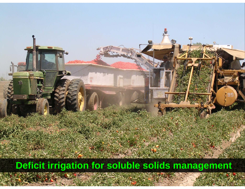Deficit irrigation for soluble solids management

SALE 27-2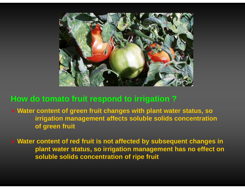

## **How do tomato fruit respond to irrigation ?**

¾ **Water content of green fruit changes with plant water status, so irrigation management affects sol ble solids concentration affects uble concentration of green fruit**

 $\triangleright$  Water content of red fruit is not affected by subsequent changes in **plant water status, so irrigation management has no effect on soluble solids concentration of ripe fruit**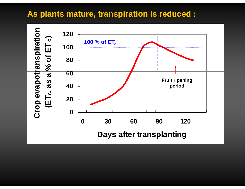### As plants mature, transpiration is reduced :

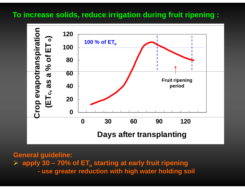#### To increase solids, reduce irrigation during fruit ripening :



**General guideline:**  $\triangleright$  apply 30 – 70% of ET<sub>o</sub> starting at early fruit ripening - use greater reduction with high water holding soil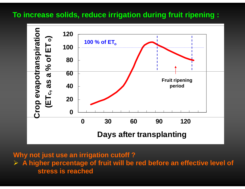#### To increase solids, reduce irrigation during fruit ripening :



Why not just use an irrigation cutoff?

 $\triangleright$  A higher percentage of fruit will be red before an effective level of stress is reached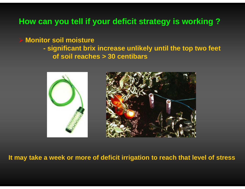## **How can y y gy g ou tell if your deficit strategy is working ?**

#### **Monitor soil moisture**

 **significant brix increase unlikely until the top two feet until of soil reaches > 30 centibars**



**It may take a week or more of deficit irrigation to reach that level of stress**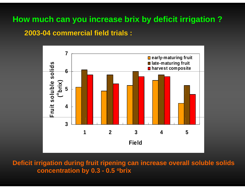# **How much can you increase brix by deficit irrigation ?**

#### **2003-04 commercial field trials :**



Deficit irrigation during fruit ripening can increase overall soluble solids **concentration by 0.3 - 0.5 obrix**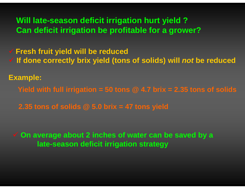# **Will late-season deficit irrigation hurt yield ? Can deficit irrigation be profitable for a grower?**

9 **Fresh fruit yield will be reduced**

9 **If done correctly brix yield (tons of solids) will** *not* **be reduced**

**Example:**

**Yield with full irrigation = 50 tons @ 4.7 brix = 2.35 tons of solids**

**2.35 tons of solids @ 5.0 brix = 47 tons yield**

 **On average about 2 inches of water can be saved by a late-season deficit irrigation strategy**